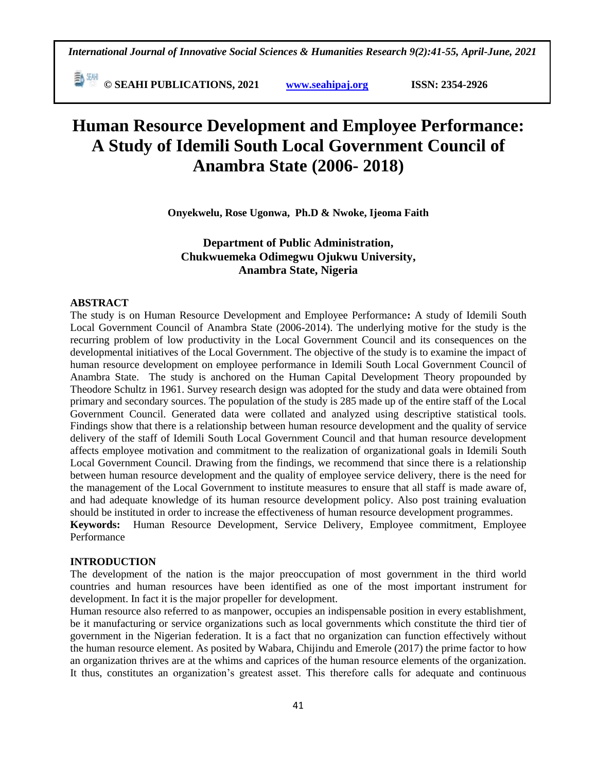**© SEAHI PUBLICATIONS, 2021 [www.seahipaj.org](http://www.seahipaj.org/) ISSN: 2354-2926** 

# **Human Resource Development and Employee Performance: A Study of Idemili South Local Government Council of Anambra State (2006- 2018)**

**Onyekwelu, Rose Ugonwa, Ph.D & Nwoke, Ijeoma Faith**

## **Department of Public Administration, Chukwuemeka Odimegwu Ojukwu University, Anambra State, Nigeria**

#### **ABSTRACT**

The study is on Human Resource Development and Employee Performance**:** A study of Idemili South Local Government Council of Anambra State (2006-2014). The underlying motive for the study is the recurring problem of low productivity in the Local Government Council and its consequences on the developmental initiatives of the Local Government. The objective of the study is to examine the impact of human resource development on employee performance in Idemili South Local Government Council of Anambra State. The study is anchored on the Human Capital Development Theory propounded by Theodore Schultz in 1961. Survey research design was adopted for the study and data were obtained from primary and secondary sources. The population of the study is 285 made up of the entire staff of the Local Government Council. Generated data were collated and analyzed using descriptive statistical tools. Findings show that there is a relationship between human resource development and the quality of service delivery of the staff of Idemili South Local Government Council and that human resource development affects employee motivation and commitment to the realization of organizational goals in Idemili South Local Government Council. Drawing from the findings, we recommend that since there is a relationship between human resource development and the quality of employee service delivery, there is the need for the management of the Local Government to institute measures to ensure that all staff is made aware of, and had adequate knowledge of its human resource development policy. Also post training evaluation should be instituted in order to increase the effectiveness of human resource development programmes. **Keywords:** Human Resource Development, Service Delivery, Employee commitment, Employee

## Performance

## **INTRODUCTION**

The development of the nation is the major preoccupation of most government in the third world countries and human resources have been identified as one of the most important instrument for development. In fact it is the major propeller for development.

Human resource also referred to as manpower, occupies an indispensable position in every establishment, be it manufacturing or service organizations such as local governments which constitute the third tier of government in the Nigerian federation. It is a fact that no organization can function effectively without the human resource element. As posited by Wabara, Chijindu and Emerole (2017) the prime factor to how an organization thrives are at the whims and caprices of the human resource elements of the organization. It thus, constitutes an organization's greatest asset. This therefore calls for adequate and continuous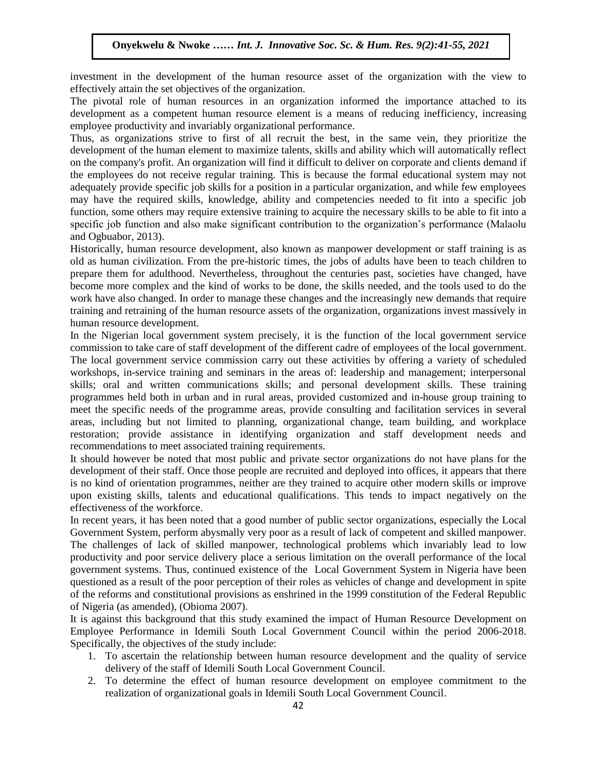investment in the development of the human resource asset of the organization with the view to effectively attain the set objectives of the organization.

encelively attain the set objectives of the organization.<br>The pivotal role of human resources in an organization informed the importance attached to its development as a competent human resource element is a means of reducing inefficiency, increasing employee productivity and invariably organizational performance.

Thus, as organizations strive to first of all recruit the best, in the same vein, they prioritize the Thus, as organizations strive to first of an recent the ocst, in the same vent, they prioritize the development of the human element to maximize talents, skills and ability which will automatically reflect on the company's profit. An organization will find it difficult to deliver on corporate and clients demand if the employees do not receive regular training. This is because the formal educational system may not adequately provide specific job skills for a position in a particular organization, and while few employees adequately provide specific job skills to a position in a particular organization, and while tew employees may have the required skills, knowledge, ability and competencies needed to fit into a specific job function, some others may require extensive training to acquire the necessary skills to be able to fit into a specific job function and also make significant contribution to the organization's performance (Malaolu and Ogbuabor, 2013).

and Ggoddoor, 2015).<br>Historically, human resource development, also known as manpower development or staff training is as old as human civilization. From the pre-historic times, the jobs of adults have been to teach children to prepare them for adulthood. Nevertheless, throughout the centuries past, societies have changed, have become more complex and the kind of works to be done, the skills needed, and the tools used to do the work have also changed. In order to manage these changes and the increasingly new demands that require work have also changed. In order to manage these changes and the increasingly new demands that require training and retraining of the human resource assets of the organization, organizations invest massively in human resource development.

In the Nigerian local government system precisely, it is the function of the local government service In the rugerian focar government system precisely, it is the ranction of the focar government service commission to take care of staff development of the different cadre of employees of the local government. The local government service commission carry out these activities by offering a variety of scheduled workshops, in-service training and seminars in the areas of: leadership and management; interpersonal skills; oral and written communications skills; and personal development skills. These training programmes held both in urban and in rural areas, provided customized and in-house group training to meet the specific needs of the programme areas, provide consulting and facilitation services in several areas, including but not limited to planning, organizational change, team building, and workplace restoration; provide assistance in identifying organization and staff development needs and recommendations to meet associated training requirements.

It should however be noted that most public and private sector organizations do not have plans for the development of their staff. Once those people are recruited and deployed into offices, it appears that there is no kind of orientation programmes, neither are they trained to acquire other modern skills or improve upon existing skills, talents and educational qualifications. This tends to impact negatively on the effectiveness of the workforce.

In recent years, it has been noted that a good number of public sector organizations, especially the Local Government System, perform abysmally very poor as a result of lack of competent and skilled manpower. The challenges of lack of skilled manpower, technological problems which invariably lead to low productivity and poor service delivery place a serious limitation on the overall performance of the local government systems. Thus, continued existence of the Local Government System in Nigeria have been questioned as a result of the poor perception of their roles as vehicles of change and development in spite of the reforms and constitutional provisions as enshrined in the 1999 constitution of the Federal Republic of Nigeria (as amended), (Obioma 2007).

It is against this background that this study examined the impact of Human Resource Development on Employee Performance in Idemili South Local Government Council within the period 2006-2018. Specifically, the objectives of the study include:

- 1. To ascertain the relationship between human resource development and the quality of service delivery of the staff of Idemili South Local Government Council.
- 2. To determine the effect of human resource development on employee commitment to the realization of organizational goals in Idemili South Local Government Council.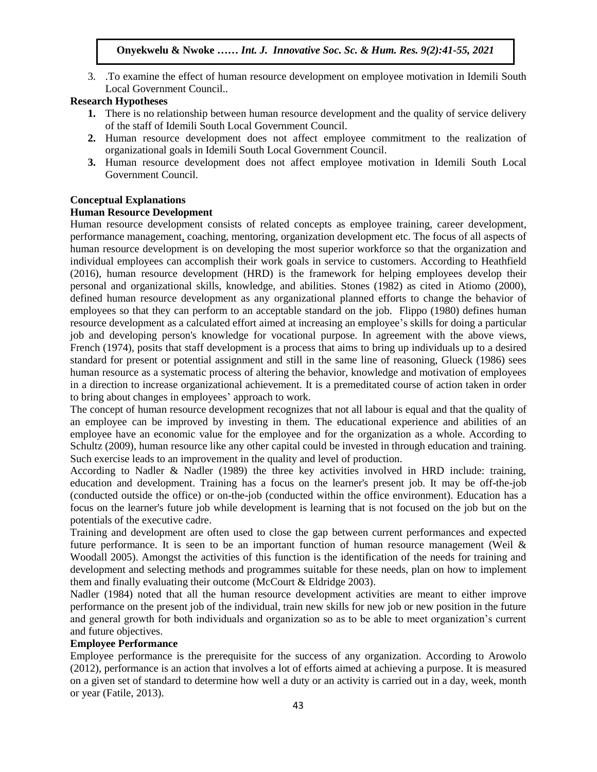3. .To examine the effect of human resource development on employee motivation in Idemili South Local Government Council..

## **Research Hypotheses**

- **1.** There is no relationship between human resource development and the quality of service delivery of the staff of Idemili South Local Government Council.
- **2.** Human resource development does not affect employee commitment to the realization of organizational goals in Idemili South Local Government Council.
- **3.** Human resource development does not affect employee motivation in Idemili South Local Government Council.

## **Conceptual Explanations**

## **Human Resource Development**

Human resource development consists of related concepts as employee training, career development, performance management, [coaching,](https://www.thebalance.com/use-coaching-to-improve-employee-performance-1918083) [mentoring,](https://www.thebalance.com/use-mentoring-to-develop-employees-1918189) organization development etc. The focus of all aspects of human resource development is on developing the most [superior workforce](https://www.thebalance.com/want-a-superior-workforce-1916768) so that the organization and individual employees can accomplish their work goals in service to customers. According to Heathfield (2016), human resource development (HRD) is the framework for helping employees develop their personal and organizational skills, knowledge, and abilities. Stones (1982) as cited in Atiomo (2000), defined human resource development as any organizational planned efforts to change the behavior of employees so that they can perform to an acceptable standard on the job. Flippo (1980) defines human resource development as a calculated effort aimed at increasing an employee's skills for doing a particular job and developing person's knowledge for vocational purpose. In agreement with the above views, French (1974), posits that staff development is a process that aims to bring up individuals up to a desired standard for present or potential assignment and still in the same line of reasoning, Glueck (1986) sees human resource as a systematic process of altering the behavior, knowledge and motivation of employees in a direction to increase organizational achievement. It is a premeditated course of action taken in order to bring about changes in employees' approach to work.

The concept of human resource development recognizes that not all labour is equal and that the quality of an employee can be improved by investing in them. The educational experience and abilities of an employee have an economic value for the employee and for the organization as a whole. According to Schultz (2009), human resource like any other capital could be invested in through education and training. Such exercise leads to an improvement in the quality and level of production.

According to Nadler & Nadler (1989) the three key activities involved in HRD include: training, education and development. Training has a focus on the learner's present job. It may be off-the-job (conducted outside the office) or on-the-job (conducted within the office environment). Education has a focus on the learner's future job while development is learning that is not focused on the job but on the potentials of the executive cadre.

Training and development are often used to close the gap between current performances and expected future performance. It is seen to be an important function of human resource management (Weil  $\&$ Woodall 2005). Amongst the activities of this function is the identification of the needs for training and development and selecting methods and programmes suitable for these needs, plan on how to implement them and finally evaluating their outcome (McCourt & Eldridge 2003).

Nadler (1984) noted that all the human resource development activities are meant to either improve performance on the present job of the individual, train new skills for new job or new position in the future and general growth for both individuals and organization so as to be able to meet organization's current and future objectives.

## **Employee Performance**

Employee performance is the prerequisite for the success of any organization. According to Arowolo (2012), performance is an action that involves a lot of efforts aimed at achieving a purpose. It is measured on a given set of standard to determine how well a duty or an activity is carried out in a day, week, month or year (Fatile, 2013).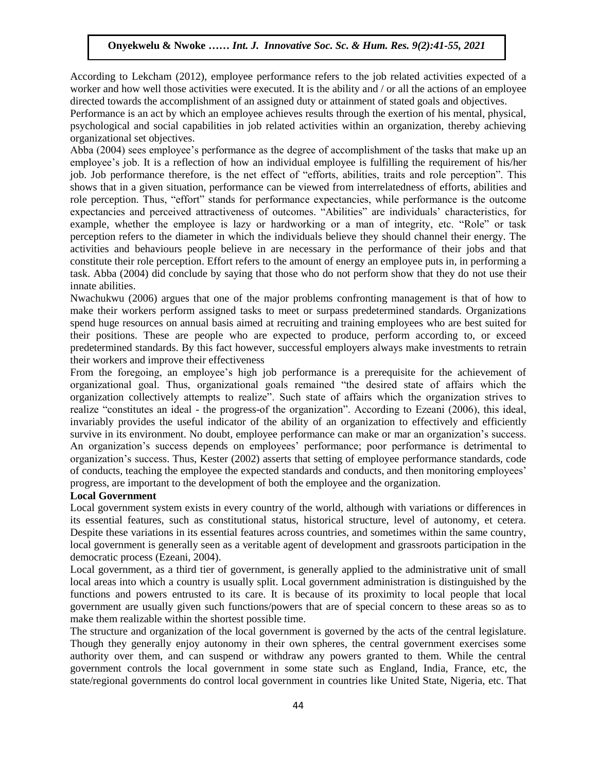According to Lekcham (2012), employee performance refers to the job related activities expected of a worker and how well those activities were executed. It is the ability and / or all the actions of an employee worker and now wen mose activities were executed. It is the ability and  $\theta$  or an the actions or an empiod

Performance is an act by which an employee achieves results through the exertion of his mental, physical, psychological and social capabilities in job related activities within an organization, thereby achieving organizational set objectives.

or gamizational set objectives.<br>Abba (2004) sees employee's performance as the degree of accomplishment of the tasks that make up an employee's job. It is a reflection of how an individual employee is fulfilling the requirement of his/her job. Job performance therefore, is the net effect of "efforts, abilities, traits and role perception". This shows that in a given situation, performance can be viewed from interrelatedness of efforts, abilities and role perception. Thus, "effort" stands for performance expectancies, while performance is the outcome role expectancies and perceived attractiveness of outcomes. "Abilities" are individuals' characteristics, for example, whether the employee is lazy or hardworking or a man of integrity, etc. "Role" or task perception refers to the diameter in which the individuals believe they should channel their energy. The perception refers to the diameter in which the individuals seneve they should entailled their energy. The activities and behaviours people believe in are necessary in the performance of their jobs and that constitute their role perception. Effort refers to the amount of energy an employee puts in, in performing a task. Abba (2004) did conclude by saying that those who do not perform show that they do not use their innate abilities.

mate domates.<br>Nwachukwu (2006) argues that one of the major problems confronting management is that of how to make their workers perform assigned tasks to meet or surpass predetermined standards. Organizations spend huge resources on annual basis aimed at recruiting and training employees who are best suited for their positions. These are people who are expected to produce, perform according to, or exceed predetermined standards. By this fact however, successful employers always make investments to retrain predetermined standards. By this fact however, successful employers always make investments to retrain their workers and improve their effectiveness

From the foregoing, an employee's high job performance is a prerequisite for the achievement of organizational goal. Thus, organizational goals remained "the desired state of affairs which the organization collectively attempts to realize". Such state of affairs which the organization strives to realize "constitutes an ideal - the progress-of the organization". According to Ezeani (2006), this ideal, invariably provides the useful indicator of the ability of an organization to effectively and efficiently survive in its environment. No doubt, employee performance can make or mar an organization's success. An organization's success depends on employees' performance; poor performance is detrimental to organization's success. Thus, Kester (2002) asserts that setting of employee performance standards, code of conducts, teaching the employee the expected standards and conducts, and then monitoring employees' progress, are important to the development of both the employee and the organization.

## **Local Government**

Local government system exists in every country of the world, although with variations or differences in its essential features, such as constitutional status, historical structure, level of autonomy, et cetera. Despite these variations in its essential features across countries, and sometimes within the same country, local government is generally seen as a veritable agent of development and grassroots participation in the democratic process (Ezeani, 2004).

Local government, as a third tier of government, is generally applied to the administrative unit of small local areas into which a country is usually split. Local government administration is distinguished by the functions and powers entrusted to its care. It is because of its proximity to local people that local government are usually given such functions/powers that are of special concern to these areas so as to make them realizable within the shortest possible time.

The structure and organization of the local government is governed by the acts of the central legislature. Though they generally enjoy autonomy in their own spheres, the central government exercises some authority over them, and can suspend or withdraw any powers granted to them. While the central government controls the local government in some state such as England, India, France, etc, the state/regional governments do control local government in countries like United State, Nigeria, etc. That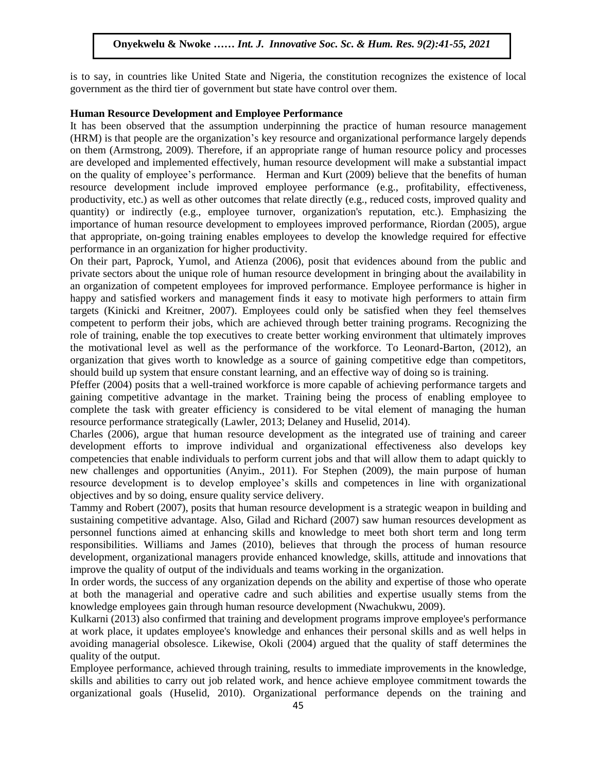is to say, in countries like United State and Nigeria, the constitution recognizes the existence of local government as the third tier of government but state have control over them.

#### **Human Resource Development and Employee Performance**

It has been observed that the assumption underpinning the practice of human resource management (HRM) is that people are the organization's key resource and organizational performance largely depends (TINN) is that people are the organization s key resource and organizational performance rargely depends<br>on them (Armstrong, 2009). Therefore, if an appropriate range of human resource policy and processes are developed and implemented effectively, human resource development will make a substantial impact on the quality of employee's performance. Herman and Kurt (2009) believe that the benefits of human resource development include improved employee performance (e.g., profitability, effectiveness, resource development include improved employee performance (e.g., profitability, effectiveness, productivity, etc.) as well as other outcomes that relate directly (e.g., reduced costs, improved quality and quantity) or indirectly (e.g., employee turnover, organization's reputation, etc.). Emphasizing the importance of human resource development to employees improved performance, Riordan (2005), argue that appropriate, on-going training enables employees to develop the knowledge required for effective necker and the state of the big method in the state of the state of the state of the state of the state of the state of performance in an organization for higher productivity.

On their part, Paprock, Yumol, and Atienza (2006), posit that evidences abound from the public and private sectors about the unique role of human resource development in bringing about the availability in an organization of competent employees for improved performance. Employee performance is higher in an organization of completent employees for improved performance. Employee performance is inglier in<br>happy and satisfied workers and management finds it easy to motivate high performers to attain firm targets (Kinicki and Kreitner, 2007). Employees could only be satisfied when they feel themselves competent to perform their jobs, which are achieved through better training programs. Recognizing the role of training, enable the top executives to create better working environment that ultimately improves the motivational level as well as the performance of the workforce. To Leonard-Barton, (2012), an the motivational level as well as the performance of the workforce. To Leonard-Barton, (2012), an organization that gives worth to knowledge as a source of gaining competitive edge than competitors, should build up system that ensure constant learning, and an effective way of doing so is training.

Pfeffer (2004) posits that a well-trained workforce is more capable of achieving performance targets and  $\frac{1}{200}$  positional and the market. Training being the process of enabling employee to gaining competitive advantage in the market. Training being the process of enabling employee to complete the task with greater efficiency is considered to be vital element of managing the human resource performance strategically (Lawler, 2013; Delaney and Huselid, 2014).

Charles (2006), argue that human resource development as the integrated use of training and career development efforts to improve individual and organizational effectiveness also develops key competencies that enable individuals to perform current jobs and that will allow them to adapt quickly to new challenges and opportunities (Anyim., 2011). For Stephen (2009), the main purpose of human resource development is to develop employee's skills and competences in line with organizational objectives and by so doing, ensure quality service delivery.

Tammy and Robert (2007), posits that human resource development is a strategic weapon in building and sustaining competitive advantage. Also, Gilad and Richard (2007) saw human resources development as personnel functions aimed at enhancing skills and knowledge to meet both short term and long term responsibilities. Williams and James (2010), believes that through the process of human resource development, organizational managers provide enhanced knowledge, skills, attitude and innovations that improve the quality of output of the individuals and teams working in the organization.

In order words, the success of any organization depends on the ability and expertise of those who operate at both the managerial and operative cadre and such abilities and expertise usually stems from the knowledge employees gain through human resource development (Nwachukwu, 2009).

Kulkarni (2013) also confirmed that training and development programs improve employee's performance at work place, it updates employee's knowledge and enhances their personal skills and as well helps in avoiding managerial obsolesce. Likewise, Okoli (2004) argued that the quality of staff determines the quality of the output.

Employee performance, achieved through training, results to immediate improvements in the knowledge, skills and abilities to carry out job related work, and hence achieve employee commitment towards the organizational goals (Huselid, 2010). Organizational performance depends on the training and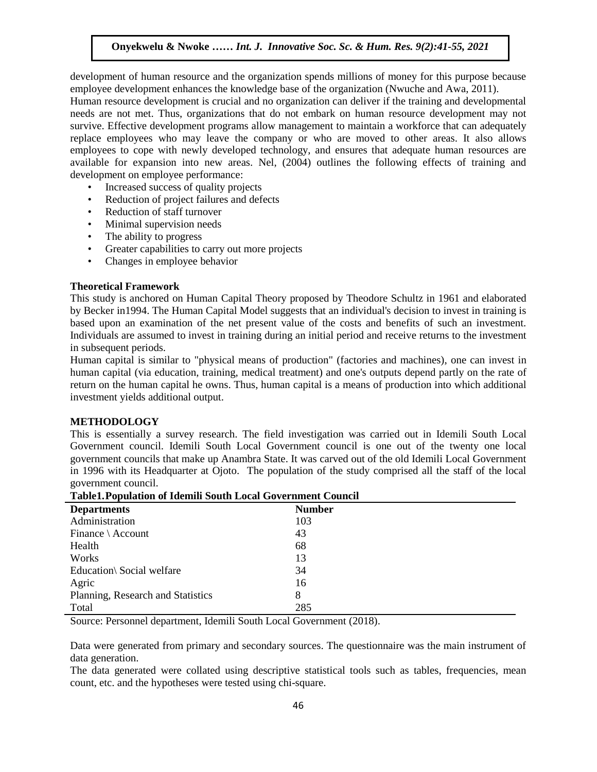development of human resource and the organization spends millions of money for this purpose because employee development enhances the knowledge base of the organization (Nwuche and Awa, 2011).

emproyee development emidities are knowledge edge on the organization (which is an *TWR, 2011)*.<br>Human resource development is crucial and no organization can deliver if the training and developmental needs are not met. Thus, organizations that do not embark on human resource development may not survive. Effective development programs allow management to maintain a workforce that can adequately replace employees who may leave the company or who are moved to other areas. It also allows employees to cope with newly developed technology, and ensures that adequate human resources are employees to cope with newly developed technology, and ensures that adequate human resources are available for expansion into new areas. Nel, (2004) outlines the following effects of training and development on employee performance:

- Increased success of quality projects
- Reduction of project failures and defects
- Reduction of staff turnover
- Minimal supervision needs
- The ability to progress
- Greater capabilities to carry out more projects
- Changes in employee behavior

#### **Theoretical Framework**

This study is anchored on Human Capital Theory proposed by Theodore Schultz in 1961 and elaborated by Becker in1994. The Human Capital Model suggests that an individual's decision to invest in training is based upon an examination of the net present value of the costs and benefits of such an investment. Individuals are assumed to invest in training during an initial period and receive returns to the investment in subsequent periods.

Human capital is similar to "physical means of production" (factories and machines), one can invest in human capital (via education, training, medical treatment) and one's outputs depend partly on the rate of return on the human capital he owns. Thus, human capital is a means of production into which additional  $i$  investment yields additional output.

#### **METHODOLOGY**

This is essentially a survey research. The field investigation was carried out in Idemili South Local Government council. Idemili South Local Government council is one out of the twenty one local government councils that make up Anambra State. It was carved out of the old Idemili Local Government in 1996 with its Headquarter at Ojoto. The population of the study comprised all the staff of the local government council.

| <b>Departments</b>                | <b>Number</b> |
|-----------------------------------|---------------|
| Administration                    | 103           |
| Finance $\setminus$ Account       | 43            |
| Health                            | 68            |
| Works                             | 13            |
| Education\ Social welfare         | 34            |
| Agric                             | 16            |
| Planning, Research and Statistics | 8             |
| Total                             | 285           |

|  | <b>Table1. Population of Idemili South Local Government Council</b> |  |  |  |  |  |
|--|---------------------------------------------------------------------|--|--|--|--|--|
|--|---------------------------------------------------------------------|--|--|--|--|--|

Source: Personnel department, Idemili South Local Government (2018).

Data were generated from primary and secondary sources. The questionnaire was the main instrument of data generation.

The data generated were collated using descriptive statistical tools such as tables, frequencies, mean count, etc. and the hypotheses were tested using chi-square.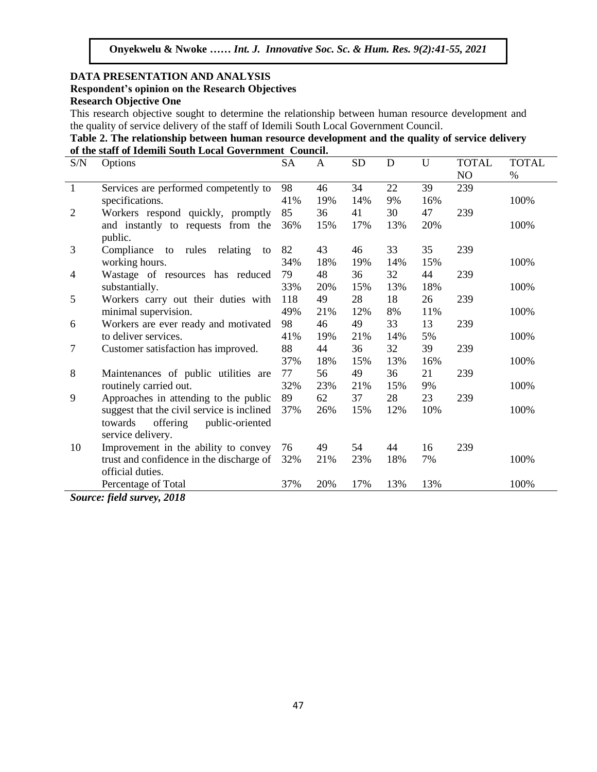## **DATA PRESENTATION AND ANALYSIS Respondent's opinion on the Research Objectives Research Objective One**

This research objective sought to determine the relationship between human resource development and the quality of service delivery of the staff of Idemili South Local Government Council.

|                                                         | Table 2. The relationship between human resource development and the quality of service delivery |
|---------------------------------------------------------|--------------------------------------------------------------------------------------------------|
| of the staff of Idemili South Local Government Council. |                                                                                                  |

| S/N            | Options                                    | <b>SA</b> | A   | <b>SD</b> | D   | U   | <b>TOTAL</b> | <b>TOTAL</b> |
|----------------|--------------------------------------------|-----------|-----|-----------|-----|-----|--------------|--------------|
|                |                                            |           |     |           |     |     | NO           | $\%$         |
| $\mathbf{1}$   | Services are performed competently to      | 98        | 46  | 34        | 22  | 39  | 239          |              |
|                | specifications.                            | 41%       | 19% | 14%       | 9%  | 16% |              | 100%         |
| $\overline{2}$ | Workers respond quickly, promptly          | 85        | 36  | 41        | 30  | 47  | 239          |              |
|                | and instantly to requests from the         | 36%       | 15% | 17%       | 13% | 20% |              | 100%         |
|                | public.                                    |           |     |           |     |     |              |              |
| 3              | Compliance to rules relating<br>to         | 82        | 43  | 46        | 33  | 35  | 239          |              |
|                | working hours.                             | 34%       | 18% | 19%       | 14% | 15% |              | 100%         |
| 4              | Wastage of resources has reduced           | 79        | 48  | 36        | 32  | 44  | 239          |              |
|                | substantially.                             | 33%       | 20% | 15%       | 13% | 18% |              | 100%         |
| 5              | Workers carry out their duties with        | 118       | 49  | 28        | 18  | 26  | 239          |              |
|                | minimal supervision.                       | 49%       | 21% | 12%       | 8%  | 11% |              | 100%         |
| 6              | Workers are ever ready and motivated       | 98        | 46  | 49        | 33  | 13  | 239          |              |
|                | to deliver services.                       | 41%       | 19% | 21%       | 14% | 5%  |              | 100%         |
| 7              | Customer satisfaction has improved.        | 88        | 44  | 36        | 32  | 39  | 239          |              |
|                |                                            | 37%       | 18% | 15%       | 13% | 16% |              | 100%         |
| 8              | Maintenances of public utilities are       | 77        | 56  | 49        | 36  | 21  | 239          |              |
|                | routinely carried out.                     | 32%       | 23% | 21%       | 15% | 9%  |              | 100%         |
| 9              | Approaches in attending to the public      | 89        | 62  | 37        | 28  | 23  | 239          |              |
|                | suggest that the civil service is inclined | 37%       | 26% | 15%       | 12% | 10% |              | 100%         |
|                | offering<br>towards<br>public-oriented     |           |     |           |     |     |              |              |
|                | service delivery.                          |           |     |           |     |     |              |              |
| 10             | Improvement in the ability to convey       | 76        | 49  | 54        | 44  | 16  | 239          |              |
|                | trust and confidence in the discharge of   | 32%       | 21% | 23%       | 18% | 7%  |              | 100%         |
|                | official duties.                           |           |     |           |     |     |              |              |
|                | Percentage of Total                        | 37%       | 20% | 17%       | 13% | 13% |              | 100%         |

*Source: field survey, 2018*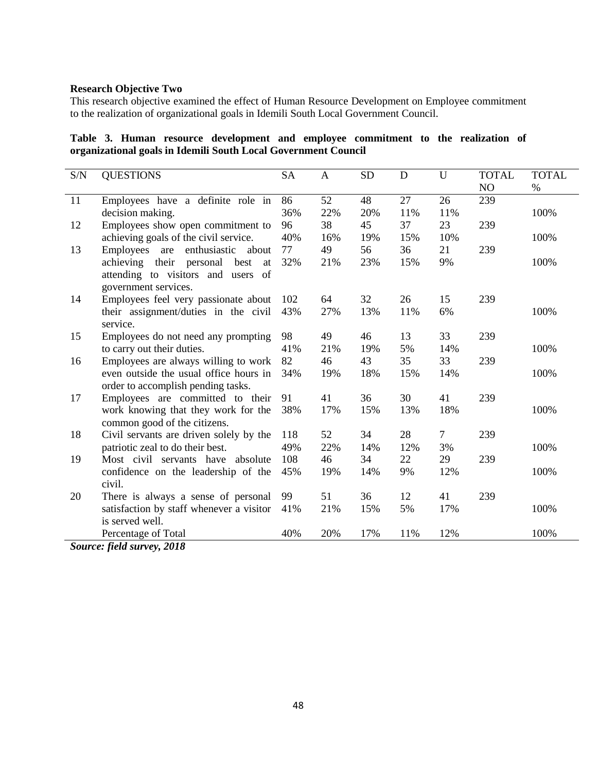## **Research Objective Two**

This research objective examined the effect of Human Resource Development on Employee commitment to the realization of organizational goals in Idemili South Local Government Council.

**Table 3. Human resource development and employee commitment to the realization of organizational goals in Idemili South Local Government Council**

| S/N        | <b>QUESTIONS</b>                             | <b>SA</b> | A   | <b>SD</b> | D   | U      | <b>TOTAL</b> | <b>TOTAL</b> |
|------------|----------------------------------------------|-----------|-----|-----------|-----|--------|--------------|--------------|
|            |                                              |           |     |           |     |        | NO           | $\%$         |
| 11         | Employees have a definite role in            | 86        | 52  | 48        | 27  | 26     | 239          |              |
|            | decision making.                             | 36%       | 22% | 20%       | 11% | 11%    |              | 100%         |
| 12         | Employees show open commitment to            | 96        | 38  | 45        | 37  | 23     | 239          |              |
|            | achieving goals of the civil service.        | 40%       | 16% | 19%       | 15% | 10%    |              | 100%         |
| 13         | enthusiastic<br>Employees<br>about<br>are    | 77        | 49  | 56        | 36  | 21     | 239          |              |
|            | achieving their personal<br>best<br>at       | 32%       | 21% | 23%       | 15% | 9%     |              | 100%         |
|            | attending to visitors and users of           |           |     |           |     |        |              |              |
|            | government services.                         |           |     |           |     |        |              |              |
| 14         | Employees feel very passionate about         | 102       | 64  | 32        | 26  | 15     | 239          |              |
|            | their assignment/duties in the civil         | 43%       | 27% | 13%       | 11% | 6%     |              | 100%         |
|            | service.                                     |           |     |           |     |        |              |              |
| 15         | Employees do not need any prompting          | 98        | 49  | 46        | 13  | 33     | 239          |              |
|            | to carry out their duties.                   | 41%       | 21% | 19%       | 5%  | 14%    |              | 100%         |
| 16         | Employees are always willing to work         | 82        | 46  | 43        | 35  | 33     | 239          |              |
|            | even outside the usual office hours in       | 34%       | 19% | 18%       | 15% | 14%    |              | 100%         |
|            | order to accomplish pending tasks.           |           |     |           |     |        |              |              |
| 17         | Employees are committed to their             | 91        | 41  | 36        | 30  | 41     | 239          |              |
|            | work knowing that they work for the          | 38%       | 17% | 15%       | 13% | 18%    |              | 100%         |
|            | common good of the citizens.                 |           |     |           |     |        |              |              |
| 18         | Civil servants are driven solely by the      | 118       | 52  | 34        | 28  | $\tau$ | 239          |              |
|            | patriotic zeal to do their best.             | 49%       | 22% | 14%       | 12% | 3%     |              | 100%         |
| 19         | Most civil servants have absolute            | 108       | 46  | 34        | 22  | 29     | 239          |              |
|            | confidence on the leadership of the          | 45%       | 19% | 14%       | 9%  | 12%    |              | 100%         |
|            | civil.                                       |           |     |           |     |        |              |              |
| 20         | There is always a sense of personal          | 99        | 51  | 36        | 12  | 41     | 239          |              |
|            | satisfaction by staff whenever a visitor     | 41%       | 21% | 15%       | 5%  | 17%    |              | 100%         |
|            | is served well.                              |           |     |           |     |        |              |              |
| $\alpha$ . | Percentage of Total<br>$f: 11, \ldots, 2010$ | 40%       | 20% | 17%       | 11% | 12%    |              | 100%         |

*Source: field survey, 2018*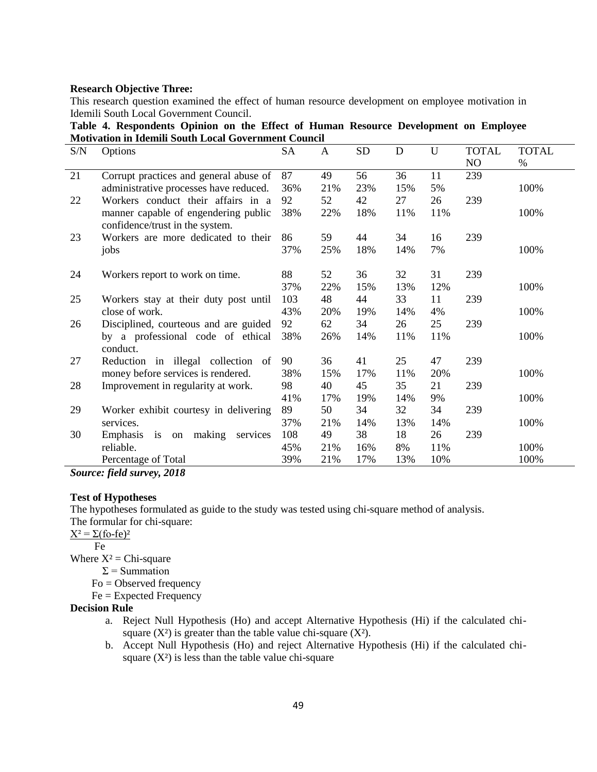## **Research Objective Three:**

This research question examined the effect of human resource development on employee motivation in Idemili South Local Government Council.

|                                                             |  |  |  | Table 4. Respondents Opinion on the Effect of Human Resource Development on Employee |  |
|-------------------------------------------------------------|--|--|--|--------------------------------------------------------------------------------------|--|
| <b>Motivation in Idemili South Local Government Council</b> |  |  |  |                                                                                      |  |

| S/N | Options                                    | SA  | A   | <b>SD</b> | D   | U   | <b>TOTAL</b> | <b>TOTAL</b> |
|-----|--------------------------------------------|-----|-----|-----------|-----|-----|--------------|--------------|
|     |                                            |     |     |           |     |     | NO           | $\%$         |
| 21  | Corrupt practices and general abuse of     | 87  | 49  | 56        | 36  | 11  | 239          |              |
|     | administrative processes have reduced.     | 36% | 21% | 23%       | 15% | 5%  |              | 100%         |
| 22  | Workers conduct their affairs in a         | 92  | 52  | 42        | 27  | 26  | 239          |              |
|     | manner capable of engendering public       | 38% | 22% | 18%       | 11% | 11% |              | 100%         |
|     | confidence/trust in the system.            |     |     |           |     |     |              |              |
| 23  | Workers are more dedicated to their        | 86  | 59  | 44        | 34  | 16  | 239          |              |
|     | jobs                                       | 37% | 25% | 18%       | 14% | 7%  |              | 100%         |
|     |                                            |     |     |           |     |     |              |              |
| 24  | Workers report to work on time.            | 88  | 52  | 36        | 32  | 31  | 239          |              |
|     |                                            | 37% | 22% | 15%       | 13% | 12% |              | 100%         |
| 25  | Workers stay at their duty post until      | 103 | 48  | 44        | 33  | 11  | 239          |              |
|     | close of work.                             | 43% | 20% | 19%       | 14% | 4%  |              | 100%         |
| 26  | Disciplined, courteous and are guided      | 92  | 62  | 34        | 26  | 25  | 239          |              |
|     | by a professional code of ethical          | 38% | 26% | 14%       | 11% | 11% |              | 100%         |
|     | conduct.                                   |     |     |           |     |     |              |              |
| 27  | Reduction in illegal collection of         | 90  | 36  | 41        | 25  | 47  | 239          |              |
|     | money before services is rendered.         | 38% | 15% | 17%       | 11% | 20% |              | 100%         |
| 28  | Improvement in regularity at work.         | 98  | 40  | 45        | 35  | 21  | 239          |              |
|     |                                            | 41% | 17% | 19%       | 14% | 9%  |              | 100%         |
| 29  | Worker exhibit courtesy in delivering      | 89  | 50  | 34        | 32  | 34  | 239          |              |
|     | services.                                  | 37% | 21% | 14%       | 13% | 14% |              | 100%         |
| 30  | is<br>making<br>Emphasis<br>services<br>on | 108 | 49  | 38        | 18  | 26  | 239          |              |
|     | reliable.                                  | 45% | 21% | 16%       | 8%  | 11% |              | 100%         |
|     | Percentage of Total                        | 39% | 21% | 17%       | 13% | 10% |              | 100%         |
|     |                                            |     |     |           |     |     |              |              |

*Source: field survey, 2018*

#### **Test of Hypotheses**

The hypotheses formulated as guide to the study was tested using chi-square method of analysis. The formular for chi-square:

 $X^2 = \Sigma$ (fo-fe)<sup>2</sup>

Fe

Where  $X^2$  = Chi-square

 $\Sigma$  = Summation

- Fo = Observed frequency
- Fe = Expected Frequency

#### **Decision Rule**

- a. Reject Null Hypothesis (Ho) and accept Alternative Hypothesis (Hi) if the calculated chisquare  $(X^2)$  is greater than the table value chi-square  $(X^2)$ .
- b. Accept Null Hypothesis (Ho) and reject Alternative Hypothesis (Hi) if the calculated chisquare  $(X^2)$  is less than the table value chi-square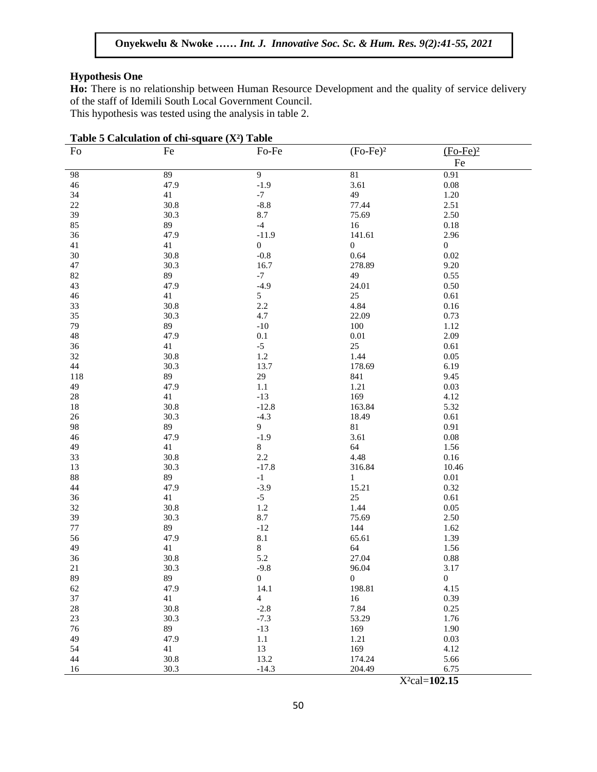## **Hypothesis One**

Ho: There is no relationship between Human Resource Development and the quality of service delivery of the staff of Idemili South Local Government Council.

This hypothesis was tested using the analysis in table 2.

| Table 5 Calculation of chi-square (X <sup>2</sup> ) Table |          |                  |                 |                  |  |  |  |  |
|-----------------------------------------------------------|----------|------------------|-----------------|------------------|--|--|--|--|
| Fo                                                        | Fe       | Fo-Fe            | $(Fo-Fe)2$      | $(Fo-Fe)2$       |  |  |  |  |
|                                                           |          |                  |                 | Fe               |  |  |  |  |
| 98                                                        | 89       | 9                | $\overline{81}$ | 0.91             |  |  |  |  |
| 46                                                        | 47.9     | $-1.9$           | 3.61            | $0.08\,$         |  |  |  |  |
| 34                                                        | 41       | $-7$             | 49              | $1.20\,$         |  |  |  |  |
| $22\,$                                                    | 30.8     | $-8.8$           | 77.44           | 2.51             |  |  |  |  |
| 39                                                        | 30.3     | $8.7\,$          | 75.69           | 2.50             |  |  |  |  |
| 85                                                        | 89       | $-4$             | 16              | $0.18\,$         |  |  |  |  |
| 36                                                        | 47.9     | $-11.9$          | 141.61          | 2.96             |  |  |  |  |
| 41                                                        | 41       | $\boldsymbol{0}$ | 0               | $\boldsymbol{0}$ |  |  |  |  |
| $30\,$                                                    | 30.8     | $-0.8$           | 0.64            | 0.02             |  |  |  |  |
| 47                                                        | 30.3     | 16.7             | 278.89          | 9.20             |  |  |  |  |
| 82                                                        | 89       | $-7$             | 49              | 0.55             |  |  |  |  |
|                                                           |          | $-4.9$           | 24.01           | 0.50             |  |  |  |  |
| 43                                                        | 47.9     |                  |                 |                  |  |  |  |  |
| 46                                                        | 41       | $\mathfrak{S}$   | 25              | $0.61\,$         |  |  |  |  |
| 33                                                        | 30.8     | $2.2\,$          | 4.84            | 0.16             |  |  |  |  |
| 35                                                        | 30.3     | 4.7              | 22.09           | 0.73             |  |  |  |  |
| 79                                                        | 89       | $-10$            | 100             | 1.12             |  |  |  |  |
| 48                                                        | 47.9     | $0.1\,$          | $0.01\,$        | 2.09             |  |  |  |  |
| 36                                                        | 41       | $-5$             | $25\,$          | 0.61             |  |  |  |  |
| 32                                                        | 30.8     | $1.2\,$          | 1.44            | 0.05             |  |  |  |  |
| 44                                                        | 30.3     | 13.7             | 178.69          | 6.19             |  |  |  |  |
| 118                                                       | 89       | $29\,$           | 841             | 9.45             |  |  |  |  |
| 49                                                        | 47.9     | $1.1\,$          | 1.21            | 0.03             |  |  |  |  |
| $28\,$                                                    | 41       | $-13$            | 169             | 4.12             |  |  |  |  |
| 18                                                        | 30.8     | $-12.8$          | 163.84          | 5.32             |  |  |  |  |
| $26\,$                                                    | 30.3     | $-4.3$           | 18.49           | 0.61             |  |  |  |  |
| 98                                                        | 89       | 9                | $81\,$          | 0.91             |  |  |  |  |
| 46                                                        | 47.9     | $-1.9$           | 3.61            | $0.08\,$         |  |  |  |  |
| 49                                                        | 41       | $8\,$            | 64              | 1.56             |  |  |  |  |
| 33                                                        | 30.8     | 2.2              | 4.48            | 0.16             |  |  |  |  |
| 13                                                        | 30.3     | $-17.8$          | 316.84          | 10.46            |  |  |  |  |
| 88                                                        | 89       | $^{\rm -1}$      | $\mathbf{1}$    | $0.01\,$         |  |  |  |  |
| 44                                                        | 47.9     | $-3.9$           | 15.21           | 0.32             |  |  |  |  |
| 36                                                        | 41       | $-5$             | $25\,$          | $0.61\,$         |  |  |  |  |
| 32                                                        | 30.8     | 1.2              | 1.44            | 0.05             |  |  |  |  |
| 39                                                        | 30.3     | 8.7              | 75.69           | 2.50             |  |  |  |  |
| 77                                                        | 89       | $-12$            | 144             | 1.62             |  |  |  |  |
| 56                                                        | 47.9     | $8.1\,$          | 65.61           | 1.39             |  |  |  |  |
| 49                                                        | 41       | $8\,$            | 64              | 1.56             |  |  |  |  |
| 36                                                        | 30.8     | 5.2              | 27.04           | 0.88             |  |  |  |  |
| $21\,$                                                    | 30.3     | $-9.8$           | 96.04           | 3.17             |  |  |  |  |
| 89                                                        | 89       | $\boldsymbol{0}$ | $\overline{0}$  | $\boldsymbol{0}$ |  |  |  |  |
| 62                                                        | 47.9     | 14.1             | 198.81          | 4.15             |  |  |  |  |
| 37                                                        | 41       | $\overline{4}$   | 16              | 0.39             |  |  |  |  |
| $28\,$                                                    | $30.8\,$ | $-2.8$           | 7.84            | 0.25             |  |  |  |  |
| $23\,$                                                    | 30.3     | $-7.3$           | 53.29           | 1.76             |  |  |  |  |
| 76                                                        | 89       | $-13$            | 169             | 1.90             |  |  |  |  |
| 49                                                        | 47.9     | $1.1\,$          | 1.21            | 0.03             |  |  |  |  |
| 54                                                        | 41       | 13               | 169             | 4.12             |  |  |  |  |
| 44                                                        | $30.8\,$ | 13.2             | 174.24          | 5.66             |  |  |  |  |
| 16                                                        | 30.3     | $-14.3$          | 204.49          | 6.75             |  |  |  |  |

X²cal=**102.15**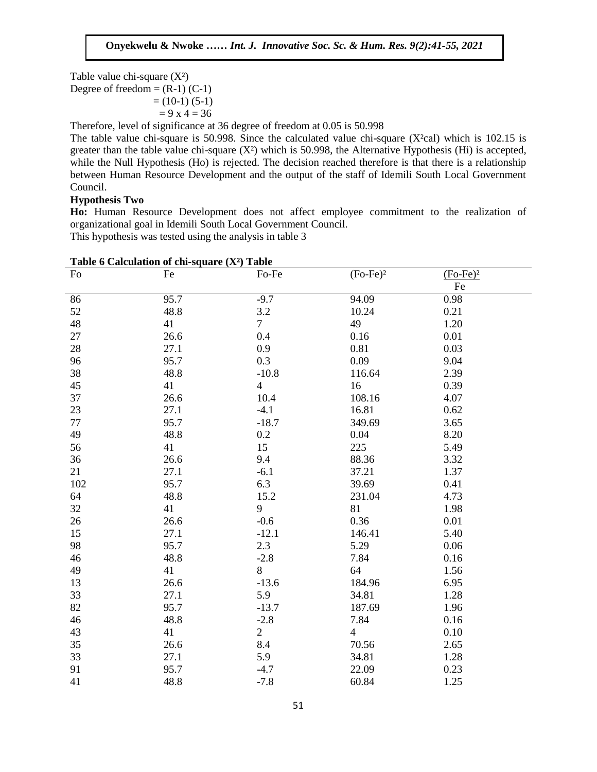Table value chi-square  $(X^2)$ 

Degree of freedom =  $(R-1)$  (C-1)<br>  $= (10, 1)$  (5, 1)  $= (10-1) (5-1)$ 

$$
= 9 \times 4 = 36
$$

Therefore, level of significance at 36 degree of freedom at 0.05 is 50.998

The table value chi-square is 50.998. Since the calculated value chi-square  $(X<sup>2</sup>cal)$  which is 102.15 is greater than the table value chi-square  $(X^2)$  which is 50.998, the Alternative Hypothesis (Hi) is accepted, while the Null Hypothesis (Ho) is rejected. The decision reached therefore is that there is a relationship between Human Resource Development and the output of the staff of Idemili South Local Government Council. en.<br>Heodo Two

## **Hypothesis Two**

**Ho:** Human Resource Development does not affect employee commitment to the realization of organizational goal in Idemili South Local Government Council.

This hypothesis was tested using the analysis in table 3

| Table 6 Calculation of chi-square (X <sup>2</sup> ) Table |      |                |                |            |  |  |  |  |
|-----------------------------------------------------------|------|----------------|----------------|------------|--|--|--|--|
| Fo                                                        | Fe   | Fo-Fe          | $(Fo-Fe)2$     | $(Fo-Fe)2$ |  |  |  |  |
|                                                           |      |                |                | Fe         |  |  |  |  |
| 86                                                        | 95.7 | $-9.7$         | 94.09          | 0.98       |  |  |  |  |
| 52                                                        | 48.8 | 3.2            | 10.24          | 0.21       |  |  |  |  |
| 48                                                        | 41   | $\overline{7}$ | 49             | 1.20       |  |  |  |  |
| 27                                                        | 26.6 | 0.4            | 0.16           | 0.01       |  |  |  |  |
| 28                                                        | 27.1 | 0.9            | 0.81           | 0.03       |  |  |  |  |
| 96                                                        | 95.7 | 0.3            | 0.09           | 9.04       |  |  |  |  |
| 38                                                        | 48.8 | $-10.8$        | 116.64         | 2.39       |  |  |  |  |
| 45                                                        | 41   | $\overline{4}$ | 16             | 0.39       |  |  |  |  |
| 37                                                        | 26.6 | 10.4           | 108.16         | 4.07       |  |  |  |  |
| 23                                                        | 27.1 | $-4.1$         | 16.81          | 0.62       |  |  |  |  |
| 77                                                        | 95.7 | $-18.7$        | 349.69         | 3.65       |  |  |  |  |
| 49                                                        | 48.8 | 0.2            | 0.04           | 8.20       |  |  |  |  |
| 56                                                        | 41   | 15             | 225            | 5.49       |  |  |  |  |
| 36                                                        | 26.6 | 9.4            | 88.36          | 3.32       |  |  |  |  |
| 21                                                        | 27.1 | $-6.1$         | 37.21          | 1.37       |  |  |  |  |
| 102                                                       | 95.7 | 6.3            | 39.69          | 0.41       |  |  |  |  |
| 64                                                        | 48.8 | 15.2           | 231.04         | 4.73       |  |  |  |  |
| 32                                                        | 41   | 9              | 81             | 1.98       |  |  |  |  |
| 26                                                        | 26.6 | $-0.6$         | 0.36           | 0.01       |  |  |  |  |
| 15                                                        | 27.1 | $-12.1$        | 146.41         | 5.40       |  |  |  |  |
| 98                                                        | 95.7 | 2.3            | 5.29           | 0.06       |  |  |  |  |
| 46                                                        | 48.8 | $-2.8$         | 7.84           | 0.16       |  |  |  |  |
| 49                                                        | 41   | 8              | 64             | 1.56       |  |  |  |  |
| 13                                                        | 26.6 | $-13.6$        | 184.96         | 6.95       |  |  |  |  |
| 33                                                        | 27.1 | 5.9            | 34.81          | 1.28       |  |  |  |  |
| 82                                                        | 95.7 | $-13.7$        | 187.69         | 1.96       |  |  |  |  |
| 46                                                        | 48.8 | $-2.8$         | 7.84           | 0.16       |  |  |  |  |
| 43                                                        | 41   | $\overline{2}$ | $\overline{4}$ | 0.10       |  |  |  |  |
| 35                                                        | 26.6 | 8.4            | 70.56          | 2.65       |  |  |  |  |
| 33                                                        | 27.1 | 5.9            | 34.81          | 1.28       |  |  |  |  |
| 91                                                        | 95.7 | $-4.7$         | 22.09          | 0.23       |  |  |  |  |
| 41                                                        | 48.8 | $-7.8$         | 60.84          | 1.25       |  |  |  |  |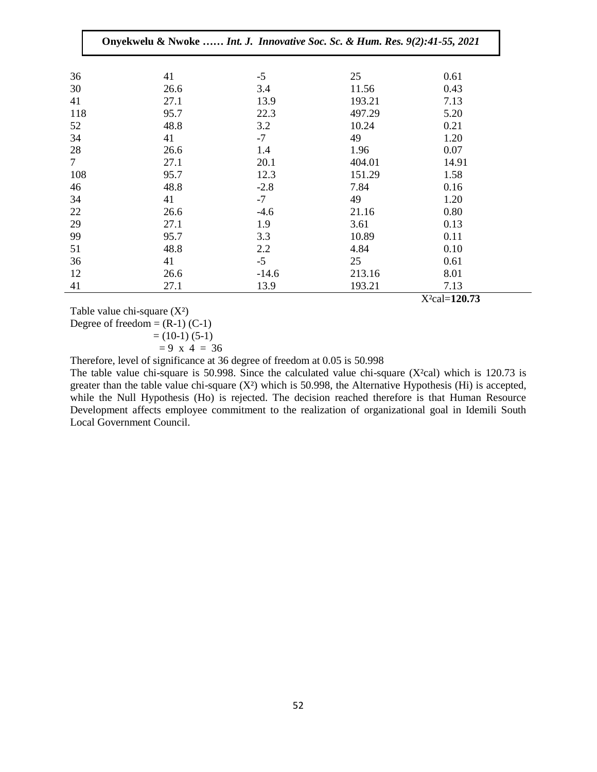|        | Onyekwelu & Nwoke  Int. J. Innovative Soc. Sc. & Hum. Res. 9(2):41-55, 2021 |         |        |       |
|--------|-----------------------------------------------------------------------------|---------|--------|-------|
| 36     | 41                                                                          | $-5$    | 25     | 0.61  |
| 30     | 26.6                                                                        | 3.4     | 11.56  | 0.43  |
| 41     | 27.1                                                                        | 13.9    | 193.21 | 7.13  |
| 118    | 95.7                                                                        | 22.3    | 497.29 | 5.20  |
| 52     | 48.8                                                                        | 3.2     | 10.24  | 0.21  |
| 34     | 41                                                                          | $-7$    | 49     | 1.20  |
| 28     | 26.6                                                                        | 1.4     | 1.96   | 0.07  |
| $\tau$ | 27.1                                                                        | 20.1    | 404.01 | 14.91 |
| 108    | 95.7                                                                        | 12.3    | 151.29 | 1.58  |
| 46     | 48.8                                                                        | $-2.8$  | 7.84   | 0.16  |
| 34     | 41                                                                          | $-7$    | 49     | 1.20  |
| 22     | 26.6                                                                        | $-4.6$  | 21.16  | 0.80  |
| 29     | 27.1                                                                        | 1.9     | 3.61   | 0.13  |
| 99     | 95.7                                                                        | 3.3     | 10.89  | 0.11  |
| 51     | 48.8                                                                        | 2.2     | 4.84   | 0.10  |
| 36     | 41                                                                          | $-5$    | 25     | 0.61  |
| 12     | 26.6                                                                        | $-14.6$ | 213.16 | 8.01  |
| 41     | 27.1                                                                        | 13.9    | 193.21 | 7.13  |

Table value chi-square  $(X^2)$ 

Degree of freedom  $= (R-1) (C-1)$ 

 $=(10-1)(5-1)$ 

$$
= 9 \times 4 = 36
$$

Therefore, level of significance at 36 degree of freedom at 0.05 is 50.998

The table value chi-square is 50.998. Since the calculated value chi-square (X²cal) which is 120.73 is greater than the table value chi-square  $(X^2)$  which is 50.998, the Alternative Hypothesis (Hi) is accepted, while the Null Hypothesis (Ho) is rejected. The decision reached therefore is that Human Resource Development affects employee commitment to the realization of organizational goal in Idemili South Local Government Council.

X²cal=**120.73**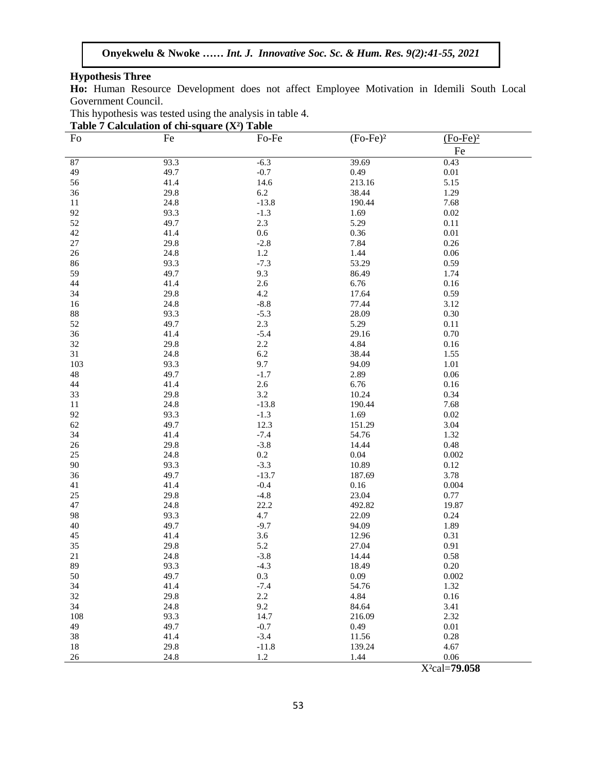## **Hypothesis Three**

**Ho:** Human Resource Development does not affect Employee Motivation in Idemili South Local Government Council.

| This hypothesis was tested using the analysis in table 4. |  |  |
|-----------------------------------------------------------|--|--|
|                                                           |  |  |

| Table 7 Calculation of chi-square $(X^2)$ Table |      |         |            |                  |  |  |  |  |
|-------------------------------------------------|------|---------|------------|------------------|--|--|--|--|
| Fo                                              | Fe   | Fo-Fe   | $(Fo-Fe)2$ | $(Fo-Fe)2$       |  |  |  |  |
|                                                 |      |         |            | Fe               |  |  |  |  |
|                                                 | 93.3 | $-6.3$  | 39.69      |                  |  |  |  |  |
| $87\,$<br>49                                    | 49.7 | $-0.7$  | 0.49       | 0.43<br>$0.01\,$ |  |  |  |  |
|                                                 | 41.4 |         |            | 5.15             |  |  |  |  |
| 56                                              |      | 14.6    | 213.16     |                  |  |  |  |  |
| 36                                              | 29.8 | 6.2     | 38.44      | 1.29             |  |  |  |  |
| 11                                              | 24.8 | $-13.8$ | 190.44     | 7.68             |  |  |  |  |
| 92                                              | 93.3 | $-1.3$  | 1.69       | 0.02             |  |  |  |  |
| 52                                              | 49.7 | 2.3     | 5.29       | 0.11             |  |  |  |  |
| 42                                              | 41.4 | $0.6\,$ | 0.36       | 0.01             |  |  |  |  |
| $27\,$                                          | 29.8 | $-2.8$  | 7.84       | 0.26             |  |  |  |  |
| $26\,$                                          | 24.8 | $1.2\,$ | 1.44       | 0.06             |  |  |  |  |
| 86                                              | 93.3 | $-7.3$  | 53.29      | 0.59             |  |  |  |  |
| 59                                              | 49.7 | 9.3     | 86.49      | 1.74             |  |  |  |  |
| 44                                              | 41.4 | 2.6     | 6.76       | 0.16             |  |  |  |  |
| 34                                              | 29.8 | 4.2     | 17.64      | 0.59             |  |  |  |  |
| 16                                              | 24.8 | $-8.8$  | 77.44      | 3.12             |  |  |  |  |
| $88\,$                                          | 93.3 | $-5.3$  | 28.09      | 0.30             |  |  |  |  |
| 52                                              | 49.7 | 2.3     | 5.29       | $0.11\,$         |  |  |  |  |
| 36                                              | 41.4 | $-5.4$  | 29.16      | 0.70             |  |  |  |  |
| 32                                              | 29.8 | 2.2     | 4.84       | 0.16             |  |  |  |  |
| 31                                              | 24.8 | $6.2\,$ | 38.44      | 1.55             |  |  |  |  |
| 103                                             | 93.3 | 9.7     | 94.09      | 1.01             |  |  |  |  |
| 48                                              | 49.7 | $-1.7$  | 2.89       | 0.06             |  |  |  |  |
| 44                                              | 41.4 | 2.6     | 6.76       | 0.16             |  |  |  |  |
| 33                                              | 29.8 | $3.2\,$ | 10.24      | 0.34             |  |  |  |  |
| 11                                              | 24.8 | $-13.8$ | 190.44     | 7.68             |  |  |  |  |
| 92                                              | 93.3 | $-1.3$  | 1.69       | 0.02             |  |  |  |  |
| 62                                              | 49.7 | 12.3    | 151.29     | 3.04             |  |  |  |  |
| 34                                              | 41.4 | $-7.4$  | 54.76      | 1.32             |  |  |  |  |
| 26                                              | 29.8 | $-3.8$  | 14.44      | 0.48             |  |  |  |  |
| 25                                              | 24.8 | $0.2\,$ | $0.04\,$   | 0.002            |  |  |  |  |
| 90                                              | 93.3 | $-3.3$  | 10.89      | 0.12             |  |  |  |  |
| 36                                              | 49.7 | $-13.7$ | 187.69     | 3.78             |  |  |  |  |
| 41                                              | 41.4 | $-0.4$  | 0.16       | 0.004            |  |  |  |  |
| $25\,$                                          | 29.8 | $-4.8$  | 23.04      | 0.77             |  |  |  |  |
| 47                                              | 24.8 | 22.2    | 492.82     | 19.87            |  |  |  |  |
| 98                                              | 93.3 | 4.7     | 22.09      | 0.24             |  |  |  |  |
| 40                                              | 49.7 | $-9.7$  | 94.09      | 1.89             |  |  |  |  |
| 45                                              | 41.4 | 3.6     | 12.96      | 0.31             |  |  |  |  |
| 35                                              | 29.8 | 5.2     | 27.04      | 0.91             |  |  |  |  |
| 21                                              | 24.8 | $-3.8$  | 14.44      | 0.58             |  |  |  |  |
| 89                                              | 93.3 | $-4.3$  | 18.49      | $0.20\,$         |  |  |  |  |
| 50                                              | 49.7 | $0.3\,$ |            |                  |  |  |  |  |
|                                                 |      |         | 0.09       | 0.002            |  |  |  |  |
| 34                                              | 41.4 | $-7.4$  | 54.76      | 1.32             |  |  |  |  |
| 32                                              | 29.8 | $2.2\,$ | 4.84       | 0.16             |  |  |  |  |
| 34                                              | 24.8 | 9.2     | 84.64      | 3.41             |  |  |  |  |
| 108                                             | 93.3 | 14.7    | 216.09     | 2.32             |  |  |  |  |
| 49                                              | 49.7 | $-0.7$  | 0.49       | 0.01             |  |  |  |  |
| 38                                              | 41.4 | $-3.4$  | 11.56      | 0.28             |  |  |  |  |
| 18                                              | 29.8 | $-11.8$ | 139.24     | 4.67             |  |  |  |  |
| 26                                              | 24.8 | $1.2\,$ | 1.44       | 0.06             |  |  |  |  |

X²cal=**79.058**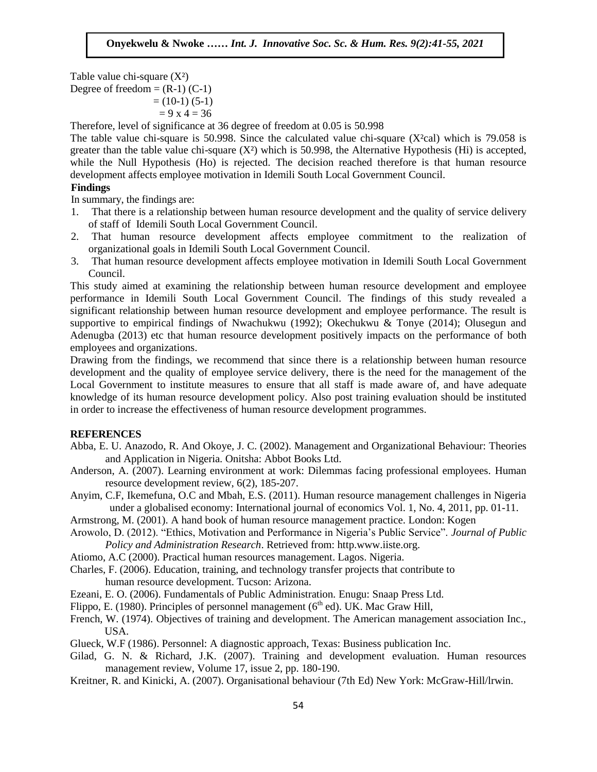Table value chi-square  $(X^2)$ Degree of freedom =  $(R-1)$  (C-1)<br>(1.0, 1):(5, 1):  $= (10-1) (5-1)$  $= 9 x 4 = 36$ 

Therefore, level of significance at 36 degree of freedom at 0.05 is 50.998

The table value chi-square is 50.998. Since the calculated value chi-square  $(X<sup>2</sup>cal)$  which is 79.058 is greater than the table value chi-square  $(X^2)$  which is 50.998, the Alternative Hypothesis (Hi) is accepted, while the Null Hypothesis (Ho) is rejected. The decision reached therefore is that human resource development affects employee motivation in Idemili South Local Government Council.

## **Findings**

**Findings**<br>In summary, the findings are:

- 1. That there is a relationship between human resource development and the quality of service delivery of staff of Idemili South Local Government Council.
- 2. That human resource development affects employee commitment to the realization of organizational goals in Idemili South Local Government Council.
- 3. That human resource development affects employee motivation in Idemili South Local Government Council.

This study aimed at examining the relationship between human resource development and employee This study afflied at examining the relationship between numan resource development and employee performance in Idemili South Local Government Council. The findings of this study revealed a significant relationship between human resource development and employee performance. The result is supportive to empirical findings of Nwachukwu (1992); Okechukwu & Tonye (2014); Olusegun and Adenugba (2013) etc that human resource development positively impacts on the performance of both numbers and approximations. employees and organizations.

Drawing from the findings, we recommend that since there is a relationship between human resource development and the quality of employee service delivery, there is the need for the management of the Local Government to institute measures to ensure that all staff is made aware of, and have adequate Ebear Government to institute measures to ensure that an start is made aware of, and have adequate<br>Rnowledge of its human resource development policy. Also post training evaluation should be instituted in order to increase the effectiveness of human resource development programmes.

#### **REFERENCES**

- Abba, E. U. Anazodo, R. And Okoye, J. C. (2002). Management and Organizational Behaviour: Theories and Application in Nigeria*.* Onitsha: Abbot Books Ltd.
- Anderson, A. (2007). Learning environment at work: Dilemmas facing professional employees. Human resource development review, 6(2), 185-207.
- Anyim, C.F, Ikemefuna, O.C and Mbah, E.S. (2011). Human resource management challenges in Nigeria under a globalised economy: International journal of economics Vol. 1, No. 4, 2011, pp. 01-11.
- Armstrong, M. (2001). A hand book of human resource management practice. London: Kogen
- Arowolo, D. (2012). "Ethics, Motivation and Performance in Nigeria's Public Service". *Journal of Public Policy and Administration Research*. Retrieved from: http.www.iiste.org.
- Atiomo, A.C (2000). Practical human resources management. Lagos. Nigeria.
- Charles, F. (2006). Education, training, and technology transfer projects that contribute to human resource development. Tucson: Arizona.
- Ezeani, E. O. (2006). Fundamentals of Public Administration*.* Enugu: Snaap Press Ltd.
- Flippo, E. (1980). Principles of personnel management ( $6<sup>th</sup>$  ed). UK. Mac Graw Hill,
- French, W. (1974). Objectives of training and development. The American management association Inc., USA.
- Glueck, W.F (1986). Personnel: A diagnostic approach, Texas: Business publication Inc.
- Gilad, G. N. & Richard, J.K. (2007). Training and development evaluation. Human resources management review, Volume 17, issue 2, pp. 180-190.
- Kreitner, R. and Kinicki, A. (2007). Organisational behaviour (7th Ed) New York: McGraw-Hill/lrwin.